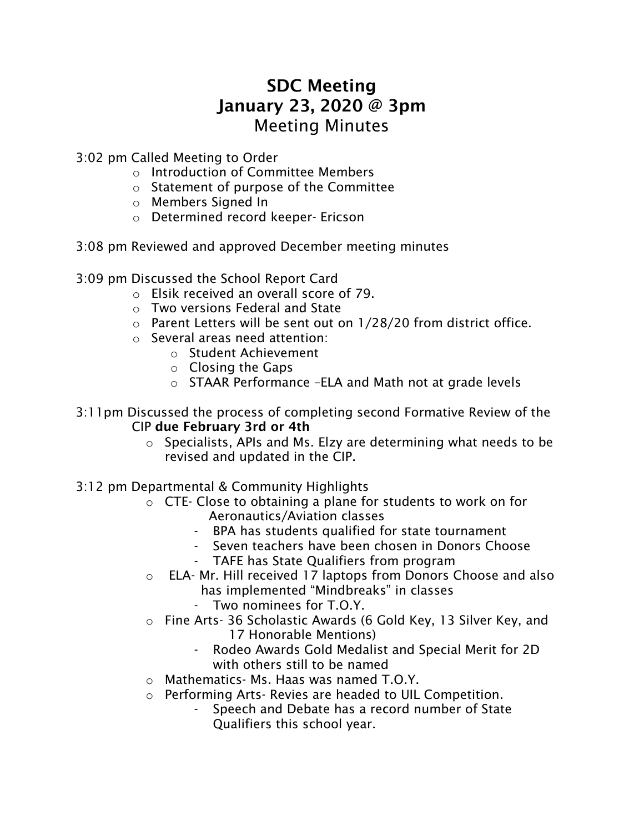## SDC Meeting January 23, 2020 @ 3pm Meeting Minutes

3:02 pm Called Meeting to Order

- o Introduction of Committee Members
- o Statement of purpose of the Committee
- o Members Signed In
- o Determined record keeper- Ericson
- 3:08 pm Reviewed and approved December meeting minutes
- 3:09 pm Discussed the School Report Card
	- o Elsik received an overall score of 79.
	- o Two versions Federal and State
	- o Parent Letters will be sent out on 1/28/20 from district office.
	- o Several areas need attention:
		- o Student Achievement
		- o Closing the Gaps
		- o STAAR Performance –ELA and Math not at grade levels
- 3:11pm Discussed the process of completing second Formative Review of the CIP due February 3rd or 4th
	- o Specialists, APIs and Ms. Elzy are determining what needs to be revised and updated in the CIP.
- 3:12 pm Departmental & Community Highlights
	- o CTE- Close to obtaining a plane for students to work on for Aeronautics/Aviation classes
		- BPA has students qualified for state tournament
		- Seven teachers have been chosen in Donors Choose
		- TAFE has State Qualifiers from program
	- o ELA- Mr. Hill received 17 laptops from Donors Choose and also has implemented "Mindbreaks" in classes
		- Two nominees for T.O.Y.
	- o Fine Arts- 36 Scholastic Awards (6 Gold Key, 13 Silver Key, and 17 Honorable Mentions)
		- Rodeo Awards Gold Medalist and Special Merit for 2D with others still to be named
	- o Mathematics- Ms. Haas was named T.O.Y.
	- o Performing Arts- Revies are headed to UIL Competition.
		- Speech and Debate has a record number of State Qualifiers this school year.